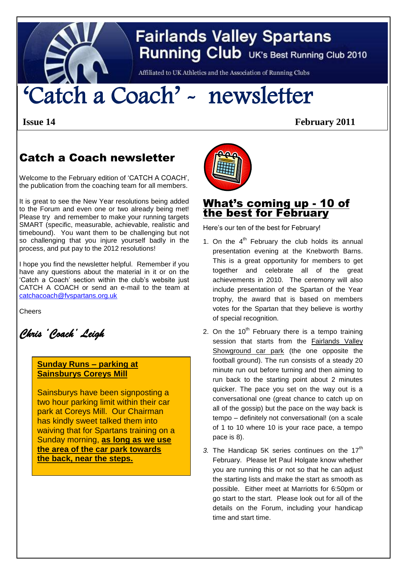

# **Fairlands Valley Spartans Running Club** UK's Best Running Club 2010

Affiliated to UK Athletics and the Association of Running Clubs

# 'Catch a Coach' - newsletter

**Issue 14 February 2011**

## Catch a Coach newsletter

Welcome to the February edition of 'CATCH A COACH', the publication from the coaching team for all members.

It is great to see the New Year resolutions being added to the Forum and even one or two already being met! Please try and remember to make your running targets SMART (specific, measurable, achievable, realistic and timebound). You want them to be challenging but not so challenging that you injure yourself badly in the process, and put pay to the 2012 resolutions!

I hope you find the newsletter helpful. Remember if you have any questions about the material in it or on the 'Catch a Coach' section within the club's website just CATCH A COACH or send an e-mail to the team at [catchacoach@fvspartans.org.uk](mailto:catchacoach@fvspartans.org.uk)

**Cheers** 

*Chris 'Coach' Leigh* 

#### **Sunday Runs – parking at Sainsburys Coreys Mill**

Sainsburys have been signposting a two hour parking limit within their car park at Coreys Mill. Our Chairman has kindly sweet talked them into waiving that for Spartans training on a Sunday morning, **as long as we use the area of the car park towards the back, near the steps.**



### What's coming up - 10 of the best for February

Here's our ten of the best for February!

- 1. On the  $4<sup>th</sup>$  February the club holds its annual presentation evening at the Knebworth Barns. This is a great opportunity for members to get together and celebrate all of the great achievements in 2010. The ceremony will also include presentation of the Spartan of the Year trophy, the award that is based on members votes for the Spartan that they believe is worthy of special recognition.
- 2. On the  $10^{th}$  February there is a tempo training session that starts from the Fairlands Valley Showground car park (the one opposite the football ground). The run consists of a steady 20 minute run out before turning and then aiming to run back to the starting point about 2 minutes quicker. The pace you set on the way out is a conversational one (great chance to catch up on all of the gossip) but the pace on the way back is tempo – definitely not conversational! (on a scale of 1 to 10 where 10 is your race pace, a tempo pace is 8).
- 3. The Handicap 5K series continues on the 17<sup>th</sup> February. Please let Paul Holgate know whether you are running this or not so that he can adjust the starting lists and make the start as smooth as possible. Either meet at Marriotts for 6:50pm or go start to the start. Please look out for all of the details on the Forum, including your handicap time and start time.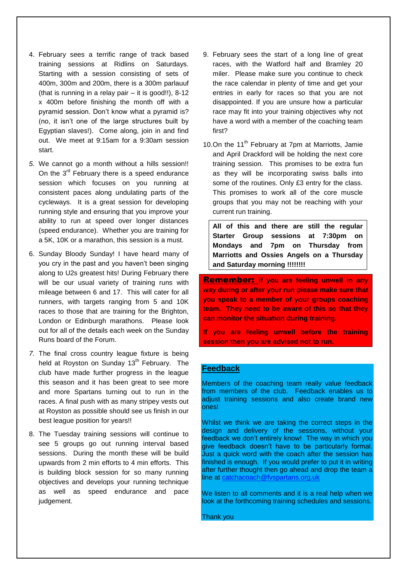- 4. February sees a terrific range of track based training sessions at Ridlins on Saturdays. Starting with a session consisting of sets of 400m, 300m and 200m, there is a 300m parlauuf (that is running in a relay pair – it is good!!), 8-12 x 400m before finishing the month off with a pyramid session. Don't know what a pyramid is? (no, it isn't one of the large structures built by Egyptian slaves!). Come along, join in and find out. We meet at 9:15am for a 9:30am session start.
- *5.* We cannot go a month without a hills session!! On the  $3^{rd}$  February there is a speed endurance session which focuses on you running at consistent paces along undulating parts of the cycleways. It is a great session for developing running style and ensuring that you improve your ability to run at speed over longer distances (speed endurance). Whether you are training for a 5K, 10K or a marathon, this session is a must.
- 6. Sunday Bloody Sunday! I have heard many of you cry in the past and you haven't been singing along to U2s greatest hits! During February there will be our usual variety of training runs with mileage between 6 and 17. This will cater for all runners, with targets ranging from 5 and 10K races to those that are training for the Brighton, London or Edinburgh marathons. Please look out for all of the details each week on the Sunday Runs board of the Forum.
- *7.* The final cross country league fixture is being held at Royston on Sunday 13<sup>th</sup> February. The club have made further progress in the league this season and it has been great to see more and more Spartans turning out to run in the races. A final push with as many stripey vests out at Royston as possible should see us finish in our best league position for years!!
- 8. The Tuesday training sessions will continue to see 5 groups go out running interval based sessions. During the month these will be build upwards from 2 min efforts to 4 min efforts. This is building block session for so many running objectives and develops your running technique as well as speed endurance and pace judgement.
- 9. February sees the start of a long line of great races, with the Watford half and Bramley 20 miler. Please make sure you continue to check the race calendar in plenty of time and get your entries in early for races so that you are not disappointed. If you are unsure how a particular race may fit into your training objectives why not have a word with a member of the coaching team first?
- 10.On the 11<sup>th</sup> February at 7pm at Marriotts, Jamie and April Drackford will be holding the next core training session. This promises to be extra fun as they will be incorporating swiss balls into some of the routines. Only £3 entry for the class. This promises to work all of the core muscle groups that you may not be reaching with your current run training.

**All of this and there are still the regular Starter Group sessions at 7:30pm on Mondays and 7pm on Thursday from Marriotts and Ossies Angels on a Thursday and Saturday morning !!!!!!!!**

Remember: **if you are feeling unwell in any way during or after your run please make sure that you speak to a member of your groups coaching team. They need to be aware of this so that they can monitor the situation during training.** 

**If you are feeling unwell before the training session then you are advised not to run.**

#### **Feedback**

Members of the coaching team really value feedback from members of the club. Feedback enables us to adjust training sessions and also create brand new ones!

Whilst we think we are taking the correct steps in the design and delivery of the sessions, without your feedback we don't entirely know! The way in which you give feedback doesn't have to be particularly formal. Just a quick word with the coach after the session has finished is enough. If you would prefer to put it in writing after further thought then go ahead and drop the team a line at [catchacoach@fvspartans.org.uk](mailto:catchacoach@fvspartans.org.uk)

We listen to all comments and it is a real help when we look at the forthcoming training schedules and sessions.

Thank you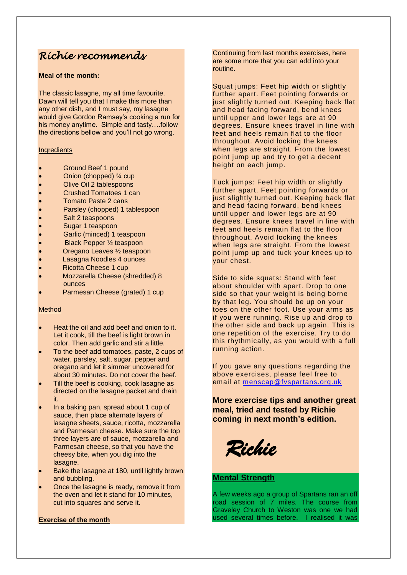## *Richie recommends*

#### **Meal of the month:**

The classic lasagne, my all time favourite. Dawn will tell you that I make this more than any other dish, and I must say, my lasagne would give Gordon Ramsey's cooking a run for his money anytime. Simple and tasty….follow the directions bellow and you'll not go wrong.

#### **Ingredients**

- Ground Beef 1 pound
- Onion (chopped) ¾ cup
- Olive Oil 2 tablespoons
- Crushed Tomatoes 1 can
- Tomato Paste 2 cans
- Parsley (chopped) 1 tablespoon
- Salt 2 teaspoons
- Sugar 1 teaspoon
- Garlic (minced) 1 teaspoon
- Black Pepper ½ teaspoon
- Oregano Leaves ½ teaspoon
- Lasagna Noodles 4 ounces
- Ricotta Cheese 1 cup
- Mozzarella Cheese (shredded) 8 ounces
- Parmesan Cheese (grated) 1 cup

#### Method

- Heat the oil and add beef and onion to it. Let it cook, till the beef is light brown in color. Then add garlic and stir a little.
- To the beef add tomatoes, paste, 2 cups of water, parsley, salt, sugar, pepper and oregano and let it simmer uncovered for about 30 minutes. Do not cover the beef.
- Till the beef is cooking, cook lasagne as directed on the lasagne packet and drain it.
- In a baking pan, spread about 1 cup of sauce, then place alternate layers of lasagne sheets, sauce, ricotta, mozzarella and Parmesan cheese. Make sure the top three layers are of sauce, mozzarella and Parmesan cheese, so that you have the cheesy bite, when you dig into the lasagne.
- Bake the lasagne at 180, until lightly brown and bubbling.
- Once the lasagne is ready, remove it from the oven and let it stand for 10 minutes, cut into squares and serve it.

#### **Exercise of the month**

Continuing from last months exercises, here are some more that you can add into your routine.

Squat jumps: Feet hip width or slightly further apart. Feet pointing forwards or just slightly turned out. Keeping back flat and head facing forward, bend knees until upper and lower legs are at 90 degrees. Ensure knees travel in line with feet and heels remain flat to the floor throughout. Avoid locking the knees when legs are straight. From the lowest point jump up and try to get a decent height on each jump.

Tuck jumps: Feet hip width or slightly further apart. Feet pointing forwards or just slightly turned out. Keeping back flat and head facing forward, bend knees until upper and lower legs are at 90 degrees. Ensure knees travel in line with feet and heels remain flat to the floor throughout. Avoid locking the knees when legs are straight. From the lowest point jump up and tuck your knees up to your chest.

Side to side squats: Stand with feet about shoulder with apart. Drop to one side so that your weight is being borne by that leg. You should be up on your toes on the other foot. Use your arms as if you were running. Rise up and drop to the other side and back up again. This is one repetition of the exercise. Try to do this rhythmically, as you would with a full running action.

If you gave any questions regarding the above exercises, please feel free to email at [menscap@fvspartans.orq.uk](mailto:menscap@fvspartans.orq.uk)

**More exercise tips and another great meal, tried and tested by Richie coming in next month's edition.**

*Richie* 

#### **Mental Strength**

A few weeks ago a group of Spartans ran an off road session of 7 miles. The course from Graveley Church to Weston was one we had used several times before. I realised it was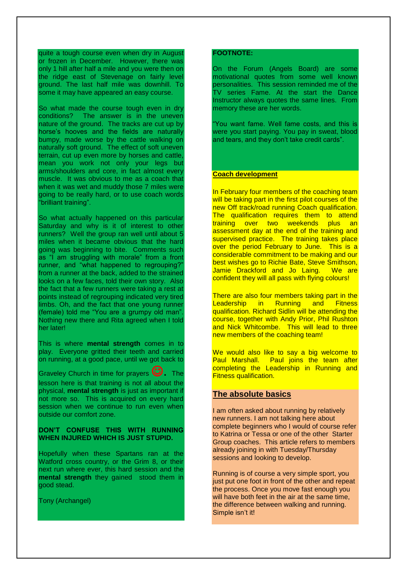quite a tough course even when dry in August or frozen in December. However, there was only 1 hill after half a mile and you were then on the ridge east of Stevenage on fairly level ground. The last half mile was downhill. To some it may have appeared an easy course.

So what made the course tough even in dry conditions? The answer is in the uneven nature of the ground. The tracks are cut up by horse's hooves and the fields are naturally bumpy, made worse by the cattle walking on naturally soft ground. The effect of soft uneven terrain, cut up even more by horses and cattle, mean you work not only your legs but arms/shoulders and core, in fact almost every muscle. It was obvious to me as a coach that when it was wet and muddy those 7 miles were going to be really hard, or to use coach words "brilliant training".

So what actually happened on this particular Saturday and why is it of interest to other runners? Well the group ran well until about 5 miles when it became obvious that the hard going was beginning to bite. Comments such as "I am struggling with morale" from a front runner, and "what happened to regrouping? from a runner at the back, added to the strained looks on a few faces, told their own story. Also the fact that a few runners were taking a rest at points instead of regrouping indicated very tired limbs. Oh, and the fact that one young runner (female) told me "You are a grumpy old man". Nothing new there and Rita agreed when I told her later!

This is where **mental strength** comes in to play. Everyone gritted their teeth and carried on running, at a good pace, until we got back to

Graveley Church in time for prayers  $\mathbf{\ddot{C}}$ . The lesson here is that training is not all about the physical, **mental strength** is just as important if not more so. This is acquired on every hard session when we continue to run even when outside our comfort zone.

#### **DON'T CONFUSE THIS WITH RUNNING WHEN INJURED WHICH IS JUST STUPID.**

Hopefully when these Spartans ran at the Watford cross country, or the Grim 8, or their next run where ever, this hard session and the **mental strength** they gained stood them in good stead.

Tony (Archangel)

#### **FOOTNOTE:**

On the Forum (Angels Board) are some motivational quotes from some well known personalities. This session reminded me of the TV series Fame. At the start the Dance Instructor always quotes the same lines. From memory these are her words.

"You want fame. Well fame costs, and this is were you start paying. You pay in sweat, blood and tears, and they don't take credit cards".

#### **Coach development**

In February four members of the coaching team will be taking part in the first pilot courses of the new Off track/road running Coach qualification. The qualification requires them to attend training over two weekends plus an assessment day at the end of the training and supervised practice. The training takes place over the period February to June. This is a considerable commitment to be making and our best wishes go to Richie Bate, Steve Smithson, Jamie Drackford and Jo Laing. We are confident they will all pass with flying colours!

There are also four members taking part in the Leadership in Running and Fitness qualification. Richard Sidlin will be attending the course, together with Andy Prior, Phil Rushton and Nick Whitcombe. This will lead to three new members of the coaching team!

We would also like to say a big welcome to Paul Marshall. Paul joins the team after completing the Leadership in Running and Fitness qualification.

#### **The absolute basics**

I am often asked about running by relatively new runners. I am not talking here about complete beginners who I would of course refer to Katrina or Tessa or one of the other Starter Group coaches. This article refers to members already joining in with Tuesday/Thursday sessions and looking to develop.

Running is of course a very simple sport, you just put one foot in front of the other and repeat the process. Once you move fast enough you will have both feet in the air at the same time, the difference between walking and running. Simple isn't it!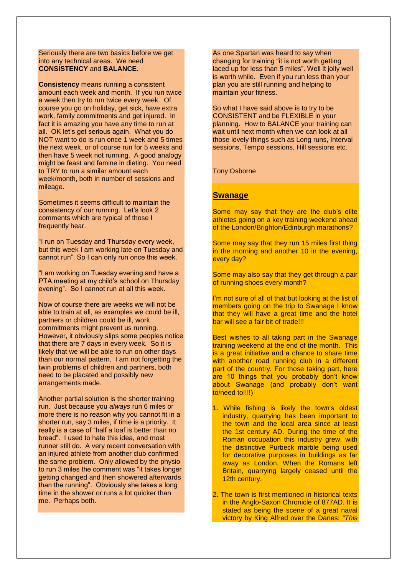Seriously there are two basics before we get into any technical areas. We need **CONSISTENCY** and **BALANCE.**

**Consistency** means running a consistent amount each week and month. If you run twice a week then try to run twice every week. Of course you go on holiday, get sick, have extra work, family commitments and get injured. In fact it is amazing you have any time to run at all. OK let's get serious again. What you do NOT want to do is run once 1 week and 5 times the next week, or of course run for 5 weeks and then have 5 week not running. A good analogy might be feast and famine in dieting. You need to TRY to run a similar amount each week/month, both in number of sessions and mileage.

Sometimes it seems difficult to maintain the consistency of our running. Let's look 2 comments which are typical of those I frequently hear.

"I run on Tuesday and Thursday every week, but this week I am working late on Tuesday and cannot run". So I can only run once this week.

"I am working on Tuesday evening and have a PTA meeting at my child's school on Thursday evening". So I cannot run at all this week.

Now of course there are weeks we will not be able to train at all, as examples we could be ill, partners or children could be ill, work commitments might prevent us running. However, it obviously slips some peoples notice that there are 7 days in every week. So it is likely that we will be able to run on other days than our normal pattern. I am not forgetting the twin problems of children and partners, both need to be placated and possibly new arrangements made.

Another partial solution is the shorter training run. Just because you *always* run 6 miles or more there is no reason why you cannot fit in a shorter run, say 3 miles, if time is a priority. It really is a case of "half a loaf is better than no bread". I used to hate this idea, and most runner still do. A very recent conversation with an injured athlete from another club confirmed the same problem. Only allowed by the physio to run 3 miles the comment was "it takes longer getting changed and then showered afterwards than the running". Obviously she takes a long time in the shower or runs a lot quicker than me. Perhaps both.

As one Spartan was heard to say when changing for training "it is not worth getting laced up for less than 5 miles". Well it jolly well is worth while. Even if you run less than your plan you are still running and helping to maintain your fitness.

So what I have said above is to try to be CONSISTENT and be FLEXIBLE in your planning. How to BALANCE your training can wait until next month when we can look at all those lovely things such as Long runs, Interval sessions, Tempo sessions, Hill sessions etc.

Tony Osborne

#### **Swanage**

Some may say that they are the club's elite athletes going on a key training weekend ahead of the London/Brighton/Edinburgh marathons?

Some may say that they run 15 miles first thing in the morning and another 10 in the evening, every day?

Some may also say that they get through a pair of running shoes every month?

I'm not sure of all of that but looking at the list of members going on the trip to Swanage I know that they will have a great time and the hotel bar will see a fair bit of trade!!!

Best wishes to all taking part in the Swanage training weekend at the end of the month. This is a great initiative and a chance to share time with another road running club in a different part of the country. For those taking part, here are 10 things that you probably don't know about Swanage (and probably don't want to/need to!!!!)

- 1. While fishing is likely the town's oldest industry, quarrying has been important to the town and the local area since at least the 1st century AD. During the time of the Roman occupation this industry grew, with the distinctive Purbeck marble being used for decorative purposes in buildings as far away as London. When the Romans left Britain, quarrying largely ceased until the 12th century.
- 2. The town is first mentioned in historical texts in the [Anglo-Saxon Chronicle](http://en.wikipedia.org/wiki/Anglo-Saxon_Chronicle) of 877AD. It is stated as being the scene of a great naval victory by King Alfred over the Danes: *"This*